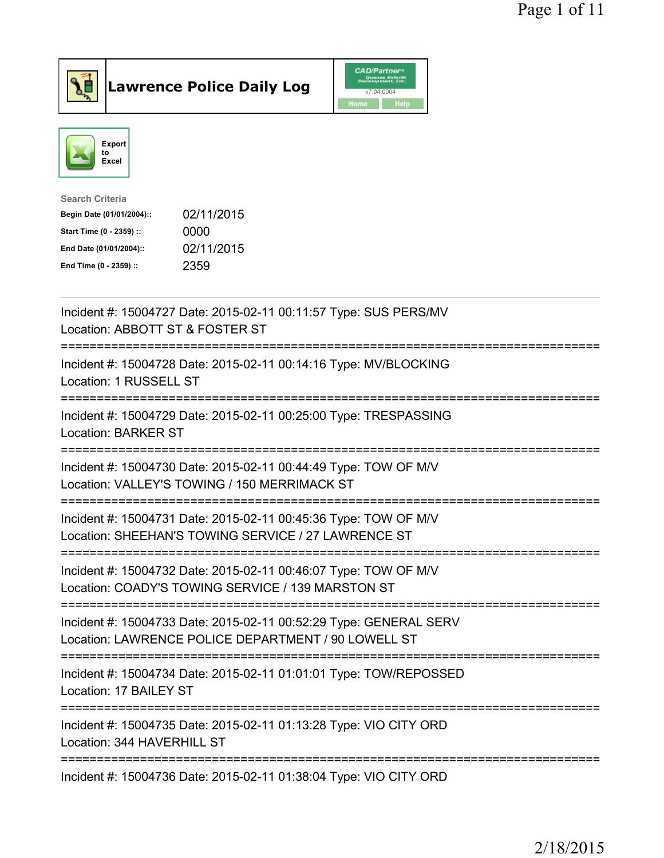



| <b>Search Criteria</b>    |            |
|---------------------------|------------|
| Begin Date (01/01/2004):: | 02/11/2015 |
| Start Time (0 - 2359) ::  | 0000       |
| End Date (01/01/2004)::   | 02/11/2015 |
| End Time (0 - 2359) ::    | 2359       |
|                           |            |

| Incident #: 15004727 Date: 2015-02-11 00:11:57 Type: SUS PERS/MV<br>Location: ABBOTT ST & FOSTER ST                                        |
|--------------------------------------------------------------------------------------------------------------------------------------------|
| Incident #: 15004728 Date: 2015-02-11 00:14:16 Type: MV/BLOCKING<br>Location: 1 RUSSELL ST                                                 |
| Incident #: 15004729 Date: 2015-02-11 00:25:00 Type: TRESPASSING<br><b>Location: BARKER ST</b>                                             |
| Incident #: 15004730 Date: 2015-02-11 00:44:49 Type: TOW OF M/V<br>Location: VALLEY'S TOWING / 150 MERRIMACK ST                            |
| Incident #: 15004731 Date: 2015-02-11 00:45:36 Type: TOW OF M/V<br>Location: SHEEHAN'S TOWING SERVICE / 27 LAWRENCE ST                     |
| Incident #: 15004732 Date: 2015-02-11 00:46:07 Type: TOW OF M/V<br>Location: COADY'S TOWING SERVICE / 139 MARSTON ST                       |
| Incident #: 15004733 Date: 2015-02-11 00:52:29 Type: GENERAL SERV<br>Location: LAWRENCE POLICE DEPARTMENT / 90 LOWELL ST<br>============== |
| Incident #: 15004734 Date: 2015-02-11 01:01:01 Type: TOW/REPOSSED<br>Location: 17 BAILEY ST                                                |
| Incident #: 15004735 Date: 2015-02-11 01:13:28 Type: VIO CITY ORD<br>Location: 344 HAVERHILL ST                                            |
| Incident #: 15004736 Date: 2015-02-11 01:38:04 Type: VIO CITY ORD                                                                          |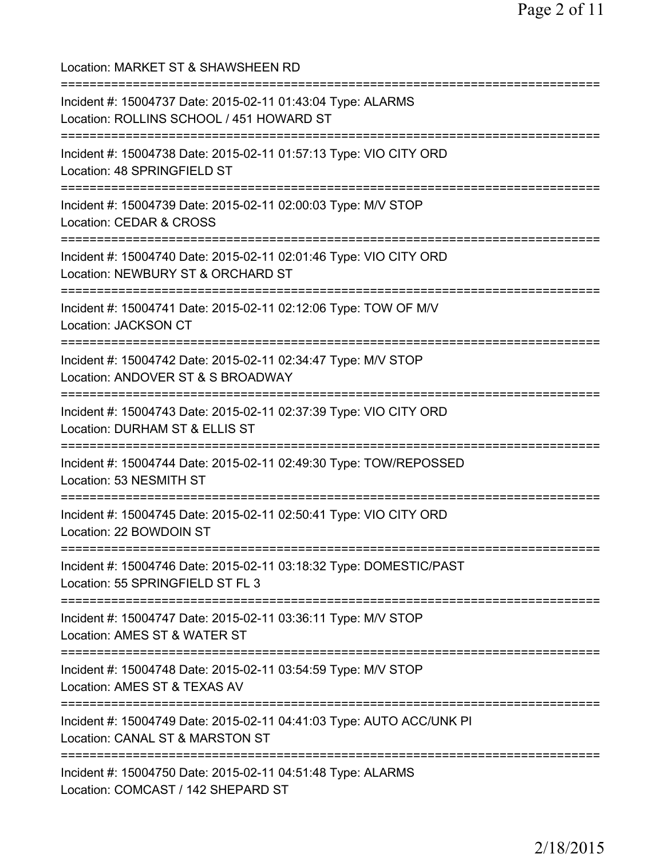Location: MARKET ST & SHAWSHEEN RD =========================================================================== Incident #: 15004737 Date: 2015-02-11 01:43:04 Type: ALARMS Location: ROLLINS SCHOOL / 451 HOWARD ST =========================================================================== Incident #: 15004738 Date: 2015-02-11 01:57:13 Type: VIO CITY ORD Location: 48 SPRINGFIELD ST =========================================================================== Incident #: 15004739 Date: 2015-02-11 02:00:03 Type: M/V STOP Location: CEDAR & CROSS =========================================================================== Incident #: 15004740 Date: 2015-02-11 02:01:46 Type: VIO CITY ORD Location: NEWBURY ST & ORCHARD ST =========================================================================== Incident #: 15004741 Date: 2015-02-11 02:12:06 Type: TOW OF M/V Location: JACKSON CT =========================================================================== Incident #: 15004742 Date: 2015-02-11 02:34:47 Type: M/V STOP Location: ANDOVER ST & S BROADWAY =========================================================================== Incident #: 15004743 Date: 2015-02-11 02:37:39 Type: VIO CITY ORD Location: DURHAM ST & ELLIS ST =========================================================================== Incident #: 15004744 Date: 2015-02-11 02:49:30 Type: TOW/REPOSSED Location: 53 NESMITH ST =========================================================================== Incident #: 15004745 Date: 2015-02-11 02:50:41 Type: VIO CITY ORD Location: 22 BOWDOIN ST =========================================================================== Incident #: 15004746 Date: 2015-02-11 03:18:32 Type: DOMESTIC/PAST Location: 55 SPRINGFIELD ST FL 3 =========================================================================== Incident #: 15004747 Date: 2015-02-11 03:36:11 Type: M/V STOP Location: AMES ST & WATER ST =========================================================================== Incident #: 15004748 Date: 2015-02-11 03:54:59 Type: M/V STOP Location: AMES ST & TEXAS AV =========================================================================== Incident #: 15004749 Date: 2015-02-11 04:41:03 Type: AUTO ACC/UNK PI Location: CANAL ST & MARSTON ST =========================================================================== Incident #: 15004750 Date: 2015-02-11 04:51:48 Type: ALARMS Location: COMCAST / 142 SHEPARD ST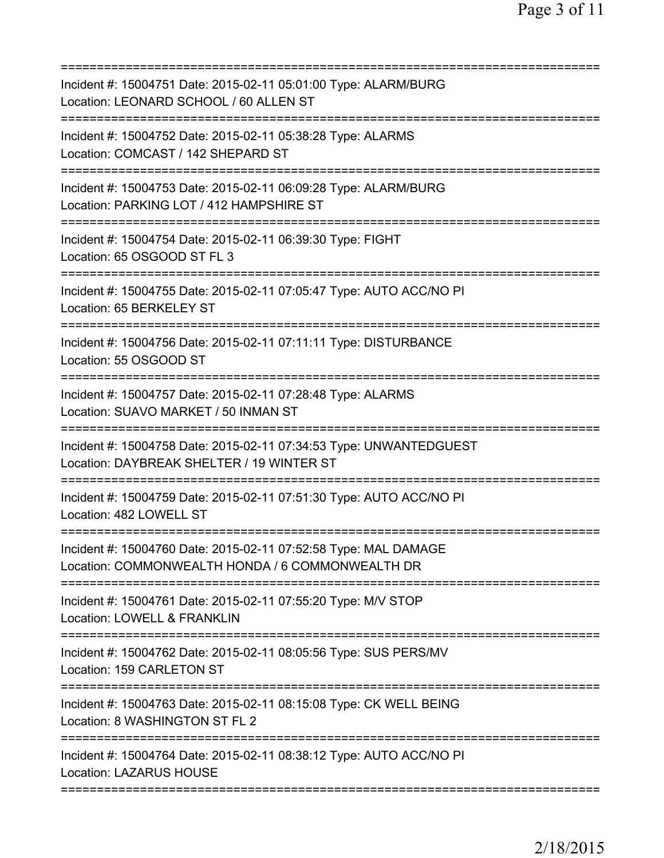| Incident #: 15004751 Date: 2015-02-11 05:01:00 Type: ALARM/BURG<br>Location: LEONARD SCHOOL / 60 ALLEN ST           |
|---------------------------------------------------------------------------------------------------------------------|
| Incident #: 15004752 Date: 2015-02-11 05:38:28 Type: ALARMS<br>Location: COMCAST / 142 SHEPARD ST                   |
| Incident #: 15004753 Date: 2015-02-11 06:09:28 Type: ALARM/BURG<br>Location: PARKING LOT / 412 HAMPSHIRE ST         |
| Incident #: 15004754 Date: 2015-02-11 06:39:30 Type: FIGHT<br>Location: 65 OSGOOD ST FL 3                           |
| Incident #: 15004755 Date: 2015-02-11 07:05:47 Type: AUTO ACC/NO PI<br>Location: 65 BERKELEY ST                     |
| Incident #: 15004756 Date: 2015-02-11 07:11:11 Type: DISTURBANCE<br>Location: 55 OSGOOD ST                          |
| Incident #: 15004757 Date: 2015-02-11 07:28:48 Type: ALARMS<br>Location: SUAVO MARKET / 50 INMAN ST                 |
| Incident #: 15004758 Date: 2015-02-11 07:34:53 Type: UNWANTEDGUEST<br>Location: DAYBREAK SHELTER / 19 WINTER ST     |
| Incident #: 15004759 Date: 2015-02-11 07:51:30 Type: AUTO ACC/NO PI<br>Location: 482 LOWELL ST                      |
| Incident #: 15004760 Date: 2015-02-11 07:52:58 Type: MAL DAMAGE<br>Location: COMMONWEALTH HONDA / 6 COMMONWEALTH DR |
| Incident #: 15004761 Date: 2015-02-11 07:55:20 Type: M/V STOP<br>Location: LOWELL & FRANKLIN                        |
| Incident #: 15004762 Date: 2015-02-11 08:05:56 Type: SUS PERS/MV<br>Location: 159 CARLETON ST                       |
| Incident #: 15004763 Date: 2015-02-11 08:15:08 Type: CK WELL BEING<br>Location: 8 WASHINGTON ST FL 2                |
| Incident #: 15004764 Date: 2015-02-11 08:38:12 Type: AUTO ACC/NO PI<br><b>Location: LAZARUS HOUSE</b>               |
|                                                                                                                     |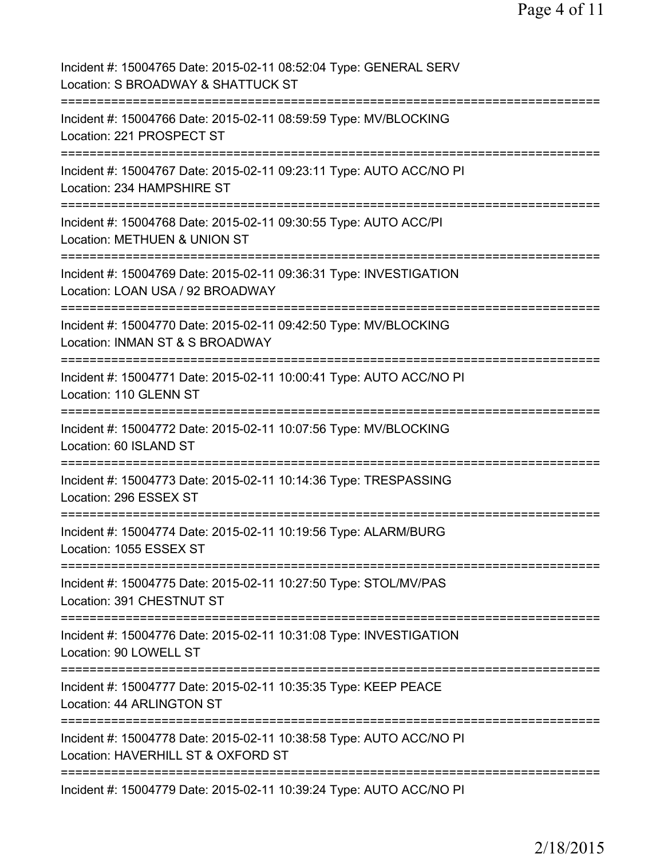Page 4 of 11

Incident #: 15004765 Date: 2015-02-11 08:52:04 Type: GENERAL SERV Location: S BROADWAY & SHATTUCK ST =========================================================================== Incident #: 15004766 Date: 2015-02-11 08:59:59 Type: MV/BLOCKING Location: 221 PROSPECT ST =========================================================================== Incident #: 15004767 Date: 2015-02-11 09:23:11 Type: AUTO ACC/NO PI Location: 234 HAMPSHIRE ST =========================================================================== Incident #: 15004768 Date: 2015-02-11 09:30:55 Type: AUTO ACC/PI Location: METHUEN & UNION ST =========================================================================== Incident #: 15004769 Date: 2015-02-11 09:36:31 Type: INVESTIGATION Location: LOAN USA / 92 BROADWAY =========================================================================== Incident #: 15004770 Date: 2015-02-11 09:42:50 Type: MV/BLOCKING Location: INMAN ST & S BROADWAY =========================================================================== Incident #: 15004771 Date: 2015-02-11 10:00:41 Type: AUTO ACC/NO PI Location: 110 GLENN ST =========================================================================== Incident #: 15004772 Date: 2015-02-11 10:07:56 Type: MV/BLOCKING Location: 60 ISLAND ST =========================================================================== Incident #: 15004773 Date: 2015-02-11 10:14:36 Type: TRESPASSING Location: 296 ESSEX ST =========================================================================== Incident #: 15004774 Date: 2015-02-11 10:19:56 Type: ALARM/BURG Location: 1055 ESSEX ST =========================================================================== Incident #: 15004775 Date: 2015-02-11 10:27:50 Type: STOL/MV/PAS Location: 391 CHESTNUT ST =========================================================================== Incident #: 15004776 Date: 2015-02-11 10:31:08 Type: INVESTIGATION Location: 90 LOWELL ST =========================================================================== Incident #: 15004777 Date: 2015-02-11 10:35:35 Type: KEEP PEACE Location: 44 ARLINGTON ST =========================================================================== Incident #: 15004778 Date: 2015-02-11 10:38:58 Type: AUTO ACC/NO PI Location: HAVERHILL ST & OXFORD ST =========================================================================== Incident #: 15004779 Date: 2015-02-11 10:39:24 Type: AUTO ACC/NO PI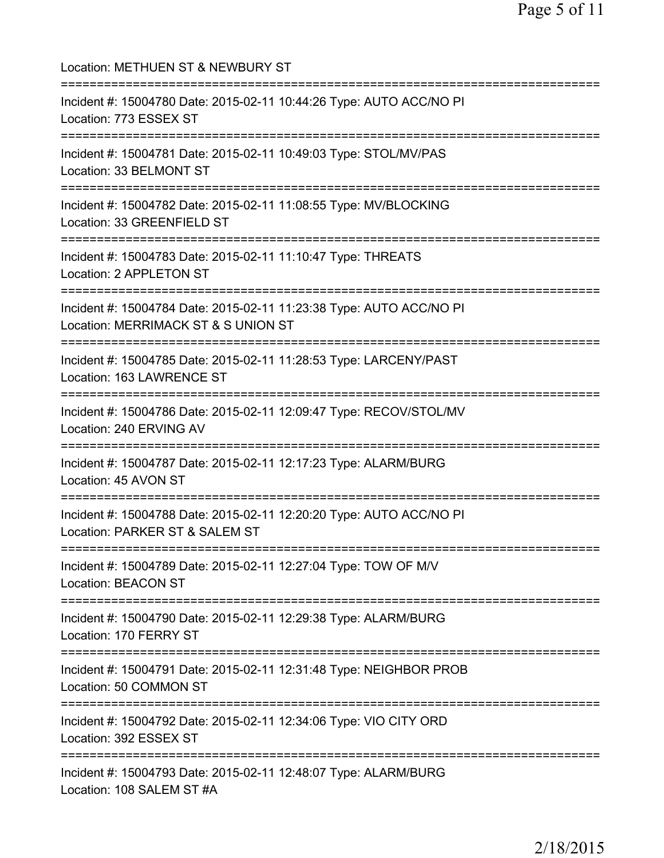| Location: METHUEN ST & NEWBURY ST                                                                                                 |
|-----------------------------------------------------------------------------------------------------------------------------------|
| Incident #: 15004780 Date: 2015-02-11 10:44:26 Type: AUTO ACC/NO PI<br>Location: 773 ESSEX ST<br>================================ |
| Incident #: 15004781 Date: 2015-02-11 10:49:03 Type: STOL/MV/PAS<br>Location: 33 BELMONT ST<br>================================   |
| Incident #: 15004782 Date: 2015-02-11 11:08:55 Type: MV/BLOCKING<br>Location: 33 GREENFIELD ST                                    |
| ;===================================<br>Incident #: 15004783 Date: 2015-02-11 11:10:47 Type: THREATS<br>Location: 2 APPLETON ST   |
| Incident #: 15004784 Date: 2015-02-11 11:23:38 Type: AUTO ACC/NO PI<br>Location: MERRIMACK ST & S UNION ST                        |
| Incident #: 15004785 Date: 2015-02-11 11:28:53 Type: LARCENY/PAST<br>Location: 163 LAWRENCE ST                                    |
| Incident #: 15004786 Date: 2015-02-11 12:09:47 Type: RECOV/STOL/MV<br>Location: 240 ERVING AV                                     |
| Incident #: 15004787 Date: 2015-02-11 12:17:23 Type: ALARM/BURG<br>Location: 45 AVON ST                                           |
| Incident #: 15004788 Date: 2015-02-11 12:20:20 Type: AUTO ACC/NO PI<br>Location: PARKER ST & SALEM ST                             |
| ==============================<br>Incident #: 15004789 Date: 2015-02-11 12:27:04 Type: TOW OF M/V<br><b>Location: BEACON ST</b>   |
| Incident #: 15004790 Date: 2015-02-11 12:29:38 Type: ALARM/BURG<br>Location: 170 FERRY ST                                         |
| ============================<br>Incident #: 15004791 Date: 2015-02-11 12:31:48 Type: NEIGHBOR PROB<br>Location: 50 COMMON ST      |
| ==================================<br>Incident #: 15004792 Date: 2015-02-11 12:34:06 Type: VIO CITY ORD<br>Location: 392 ESSEX ST |
| Incident #: 15004793 Date: 2015-02-11 12:48:07 Type: ALARM/BURG<br>Location: 108 SALEM ST #A                                      |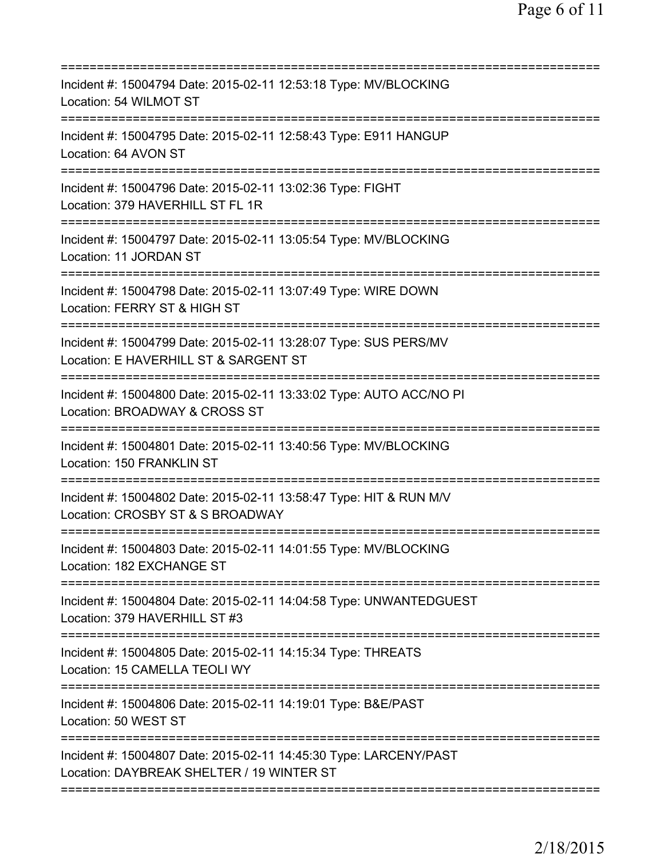| Incident #: 15004794 Date: 2015-02-11 12:53:18 Type: MV/BLOCKING<br>Location: 54 WILMOT ST                     |
|----------------------------------------------------------------------------------------------------------------|
| Incident #: 15004795 Date: 2015-02-11 12:58:43 Type: E911 HANGUP<br>Location: 64 AVON ST                       |
| Incident #: 15004796 Date: 2015-02-11 13:02:36 Type: FIGHT<br>Location: 379 HAVERHILL ST FL 1R                 |
| Incident #: 15004797 Date: 2015-02-11 13:05:54 Type: MV/BLOCKING<br>Location: 11 JORDAN ST                     |
| Incident #: 15004798 Date: 2015-02-11 13:07:49 Type: WIRE DOWN<br>Location: FERRY ST & HIGH ST                 |
| Incident #: 15004799 Date: 2015-02-11 13:28:07 Type: SUS PERS/MV<br>Location: E HAVERHILL ST & SARGENT ST      |
| Incident #: 15004800 Date: 2015-02-11 13:33:02 Type: AUTO ACC/NO PI<br>Location: BROADWAY & CROSS ST           |
| Incident #: 15004801 Date: 2015-02-11 13:40:56 Type: MV/BLOCKING<br>Location: 150 FRANKLIN ST                  |
| Incident #: 15004802 Date: 2015-02-11 13:58:47 Type: HIT & RUN M/V<br>Location: CROSBY ST & S BROADWAY         |
| Incident #: 15004803 Date: 2015-02-11 14:01:55 Type: MV/BLOCKING<br>Location: 182 EXCHANGE ST                  |
| Incident #: 15004804 Date: 2015-02-11 14:04:58 Type: UNWANTEDGUEST<br>Location: 379 HAVERHILL ST #3            |
| Incident #: 15004805 Date: 2015-02-11 14:15:34 Type: THREATS<br>Location: 15 CAMELLA TEOLI WY                  |
| Incident #: 15004806 Date: 2015-02-11 14:19:01 Type: B&E/PAST<br>Location: 50 WEST ST                          |
| Incident #: 15004807 Date: 2015-02-11 14:45:30 Type: LARCENY/PAST<br>Location: DAYBREAK SHELTER / 19 WINTER ST |
|                                                                                                                |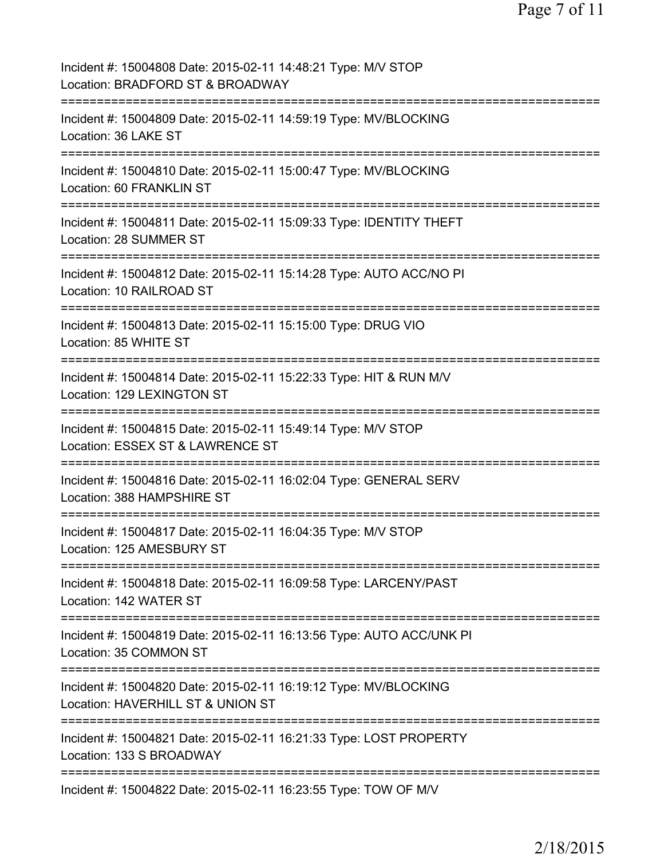| Incident #: 15004808 Date: 2015-02-11 14:48:21 Type: M/V STOP<br>Location: BRADFORD ST & BROADWAY                |
|------------------------------------------------------------------------------------------------------------------|
| Incident #: 15004809 Date: 2015-02-11 14:59:19 Type: MV/BLOCKING<br>Location: 36 LAKE ST                         |
| Incident #: 15004810 Date: 2015-02-11 15:00:47 Type: MV/BLOCKING<br>Location: 60 FRANKLIN ST                     |
| Incident #: 15004811 Date: 2015-02-11 15:09:33 Type: IDENTITY THEFT<br>Location: 28 SUMMER ST                    |
| Incident #: 15004812 Date: 2015-02-11 15:14:28 Type: AUTO ACC/NO PI<br>Location: 10 RAILROAD ST                  |
| Incident #: 15004813 Date: 2015-02-11 15:15:00 Type: DRUG VIO<br>Location: 85 WHITE ST                           |
| Incident #: 15004814 Date: 2015-02-11 15:22:33 Type: HIT & RUN M/V<br>Location: 129 LEXINGTON ST                 |
| Incident #: 15004815 Date: 2015-02-11 15:49:14 Type: M/V STOP<br>Location: ESSEX ST & LAWRENCE ST                |
| =============<br>Incident #: 15004816 Date: 2015-02-11 16:02:04 Type: GENERAL SERV<br>Location: 388 HAMPSHIRE ST |
| Incident #: 15004817 Date: 2015-02-11 16:04:35 Type: M/V STOP<br>Location: 125 AMESBURY ST                       |
| Incident #: 15004818 Date: 2015-02-11 16:09:58 Type: LARCENY/PAST<br>Location: 142 WATER ST                      |
| Incident #: 15004819 Date: 2015-02-11 16:13:56 Type: AUTO ACC/UNK PI<br>Location: 35 COMMON ST                   |
| Incident #: 15004820 Date: 2015-02-11 16:19:12 Type: MV/BLOCKING<br>Location: HAVERHILL ST & UNION ST            |
| Incident #: 15004821 Date: 2015-02-11 16:21:33 Type: LOST PROPERTY<br>Location: 133 S BROADWAY                   |
| Incident #: 15004822 Date: 2015-02-11 16:23:55 Type: TOW OF M/V                                                  |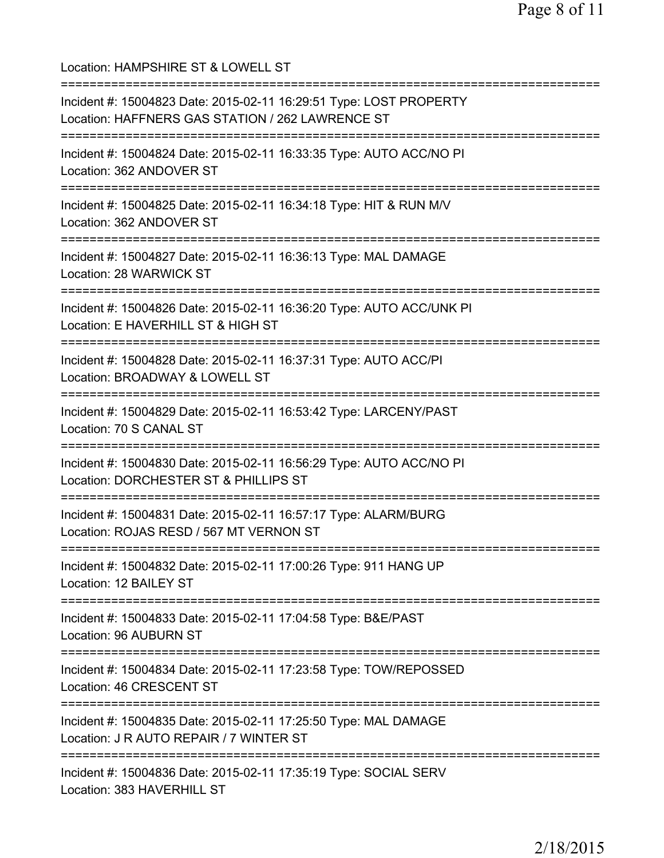Location: HAMPSHIRE ST & LOWELL ST =========================================================================== Incident #: 15004823 Date: 2015-02-11 16:29:51 Type: LOST PROPERTY Location: HAFFNERS GAS STATION / 262 LAWRENCE ST =========================================================================== Incident #: 15004824 Date: 2015-02-11 16:33:35 Type: AUTO ACC/NO PI Location: 362 ANDOVER ST =========================================================================== Incident #: 15004825 Date: 2015-02-11 16:34:18 Type: HIT & RUN M/V Location: 362 ANDOVER ST =========================================================================== Incident #: 15004827 Date: 2015-02-11 16:36:13 Type: MAL DAMAGE Location: 28 WARWICK ST =========================================================================== Incident #: 15004826 Date: 2015-02-11 16:36:20 Type: AUTO ACC/UNK PI Location: E HAVERHILL ST & HIGH ST =========================================================================== Incident #: 15004828 Date: 2015-02-11 16:37:31 Type: AUTO ACC/PI Location: BROADWAY & LOWELL ST =========================================================================== Incident #: 15004829 Date: 2015-02-11 16:53:42 Type: LARCENY/PAST Location: 70 S CANAL ST =========================================================================== Incident #: 15004830 Date: 2015-02-11 16:56:29 Type: AUTO ACC/NO PI Location: DORCHESTER ST & PHILLIPS ST =========================================================================== Incident #: 15004831 Date: 2015-02-11 16:57:17 Type: ALARM/BURG Location: ROJAS RESD / 567 MT VERNON ST =========================================================================== Incident #: 15004832 Date: 2015-02-11 17:00:26 Type: 911 HANG UP Location: 12 BAILEY ST =========================================================================== Incident #: 15004833 Date: 2015-02-11 17:04:58 Type: B&E/PAST Location: 96 AUBURN ST =========================================================================== Incident #: 15004834 Date: 2015-02-11 17:23:58 Type: TOW/REPOSSED Location: 46 CRESCENT ST =========================================================================== Incident #: 15004835 Date: 2015-02-11 17:25:50 Type: MAL DAMAGE Location: J R AUTO REPAIR / 7 WINTER ST =========================================================================== Incident #: 15004836 Date: 2015-02-11 17:35:19 Type: SOCIAL SERV Location: 383 HAVERHILL ST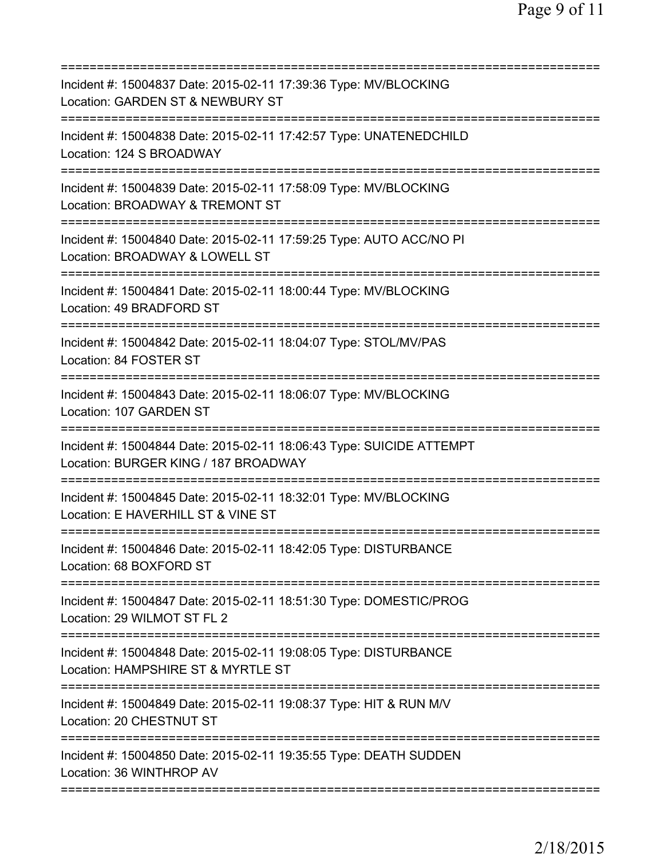| Incident #: 15004837 Date: 2015-02-11 17:39:36 Type: MV/BLOCKING<br>Location: GARDEN ST & NEWBURY ST         |
|--------------------------------------------------------------------------------------------------------------|
| Incident #: 15004838 Date: 2015-02-11 17:42:57 Type: UNATENEDCHILD<br>Location: 124 S BROADWAY               |
| Incident #: 15004839 Date: 2015-02-11 17:58:09 Type: MV/BLOCKING<br>Location: BROADWAY & TREMONT ST          |
| Incident #: 15004840 Date: 2015-02-11 17:59:25 Type: AUTO ACC/NO PI<br>Location: BROADWAY & LOWELL ST        |
| Incident #: 15004841 Date: 2015-02-11 18:00:44 Type: MV/BLOCKING<br>Location: 49 BRADFORD ST                 |
| Incident #: 15004842 Date: 2015-02-11 18:04:07 Type: STOL/MV/PAS<br>Location: 84 FOSTER ST                   |
| Incident #: 15004843 Date: 2015-02-11 18:06:07 Type: MV/BLOCKING<br>Location: 107 GARDEN ST                  |
| Incident #: 15004844 Date: 2015-02-11 18:06:43 Type: SUICIDE ATTEMPT<br>Location: BURGER KING / 187 BROADWAY |
| Incident #: 15004845 Date: 2015-02-11 18:32:01 Type: MV/BLOCKING<br>Location: E HAVERHILL ST & VINE ST       |
| Incident #: 15004846 Date: 2015-02-11 18:42:05 Type: DISTURBANCE<br>Location: 68 BOXFORD ST                  |
| Incident #: 15004847 Date: 2015-02-11 18:51:30 Type: DOMESTIC/PROG<br>Location: 29 WILMOT ST FL 2            |
| Incident #: 15004848 Date: 2015-02-11 19:08:05 Type: DISTURBANCE<br>Location: HAMPSHIRE ST & MYRTLE ST       |
| Incident #: 15004849 Date: 2015-02-11 19:08:37 Type: HIT & RUN M/V<br>Location: 20 CHESTNUT ST               |
| Incident #: 15004850 Date: 2015-02-11 19:35:55 Type: DEATH SUDDEN<br>Location: 36 WINTHROP AV                |
|                                                                                                              |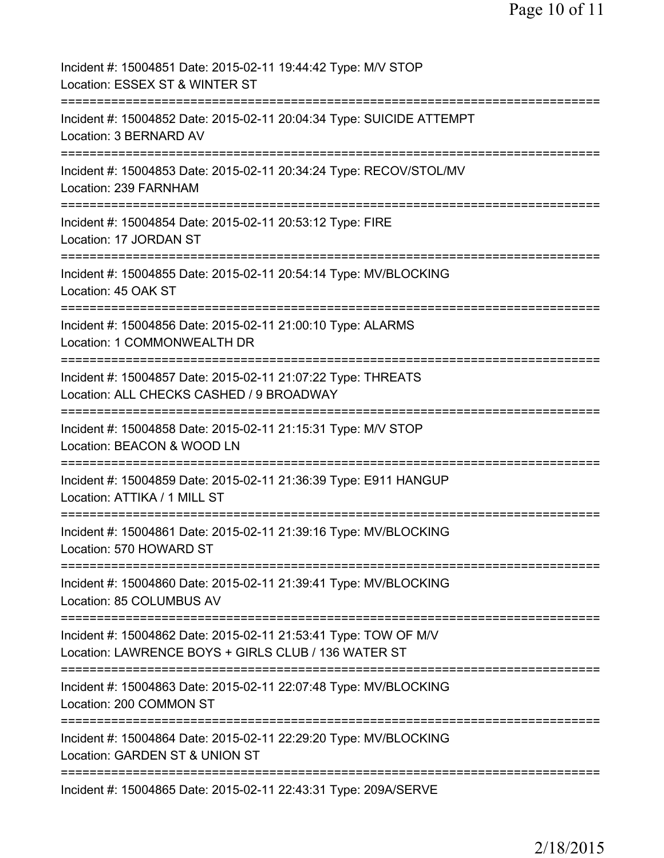| Incident #: 15004851 Date: 2015-02-11 19:44:42 Type: M/V STOP<br>Location: ESSEX ST & WINTER ST                        |
|------------------------------------------------------------------------------------------------------------------------|
| Incident #: 15004852 Date: 2015-02-11 20:04:34 Type: SUICIDE ATTEMPT<br>Location: 3 BERNARD AV                         |
| Incident #: 15004853 Date: 2015-02-11 20:34:24 Type: RECOV/STOL/MV<br>Location: 239 FARNHAM                            |
| Incident #: 15004854 Date: 2015-02-11 20:53:12 Type: FIRE<br>Location: 17 JORDAN ST                                    |
| Incident #: 15004855 Date: 2015-02-11 20:54:14 Type: MV/BLOCKING<br>Location: 45 OAK ST                                |
| ======================<br>Incident #: 15004856 Date: 2015-02-11 21:00:10 Type: ALARMS<br>Location: 1 COMMONWEALTH DR   |
| Incident #: 15004857 Date: 2015-02-11 21:07:22 Type: THREATS<br>Location: ALL CHECKS CASHED / 9 BROADWAY               |
| Incident #: 15004858 Date: 2015-02-11 21:15:31 Type: M/V STOP<br>Location: BEACON & WOOD LN                            |
| Incident #: 15004859 Date: 2015-02-11 21:36:39 Type: E911 HANGUP<br>Location: ATTIKA / 1 MILL ST                       |
| Incident #: 15004861 Date: 2015-02-11 21:39:16 Type: MV/BLOCKING<br>Location: 570 HOWARD ST                            |
| Incident #: 15004860 Date: 2015-02-11 21:39:41 Type: MV/BLOCKING<br>Location: 85 COLUMBUS AV                           |
| Incident #: 15004862 Date: 2015-02-11 21:53:41 Type: TOW OF M/V<br>Location: LAWRENCE BOYS + GIRLS CLUB / 136 WATER ST |
| Incident #: 15004863 Date: 2015-02-11 22:07:48 Type: MV/BLOCKING<br>Location: 200 COMMON ST                            |
| Incident #: 15004864 Date: 2015-02-11 22:29:20 Type: MV/BLOCKING<br>Location: GARDEN ST & UNION ST                     |
| Incident #: 15004865 Date: 2015-02-11 22:43:31 Type: 209A/SERVE                                                        |